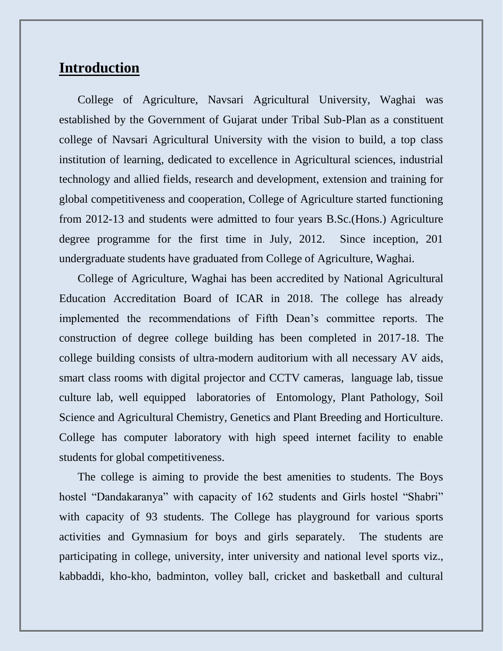## **Introduction**

College of Agriculture, Navsari Agricultural University, Waghai was established by the Government of Gujarat under Tribal Sub-Plan as a constituent college of Navsari Agricultural University with the vision to build, a top class institution of learning, dedicated to excellence in Agricultural sciences, industrial technology and allied fields, research and development, extension and training for global competitiveness and cooperation, College of Agriculture started functioning from 2012-13 and students were admitted to four years B.Sc.(Hons.) Agriculture degree programme for the first time in July, 2012. Since inception, 201 undergraduate students have graduated from College of Agriculture, Waghai.

College of Agriculture, Waghai has been accredited by National Agricultural Education Accreditation Board of ICAR in 2018. The college has already implemented the recommendations of Fifth Dean's committee reports. The construction of degree college building has been completed in 2017-18. The college building consists of ultra-modern auditorium with all necessary AV aids, smart class rooms with digital projector and CCTV cameras, language lab, tissue culture lab, well equipped laboratories of Entomology, Plant Pathology, Soil Science and Agricultural Chemistry, Genetics and Plant Breeding and Horticulture. College has computer laboratory with high speed internet facility to enable students for global competitiveness.

The college is aiming to provide the best amenities to students. The Boys hostel "Dandakaranya" with capacity of 162 students and Girls hostel "Shabri" with capacity of 93 students. The College has playground for various sports activities and Gymnasium for boys and girls separately. The students are participating in college, university, inter university and national level sports viz., kabbaddi, kho-kho, badminton, volley ball, cricket and basketball and cultural